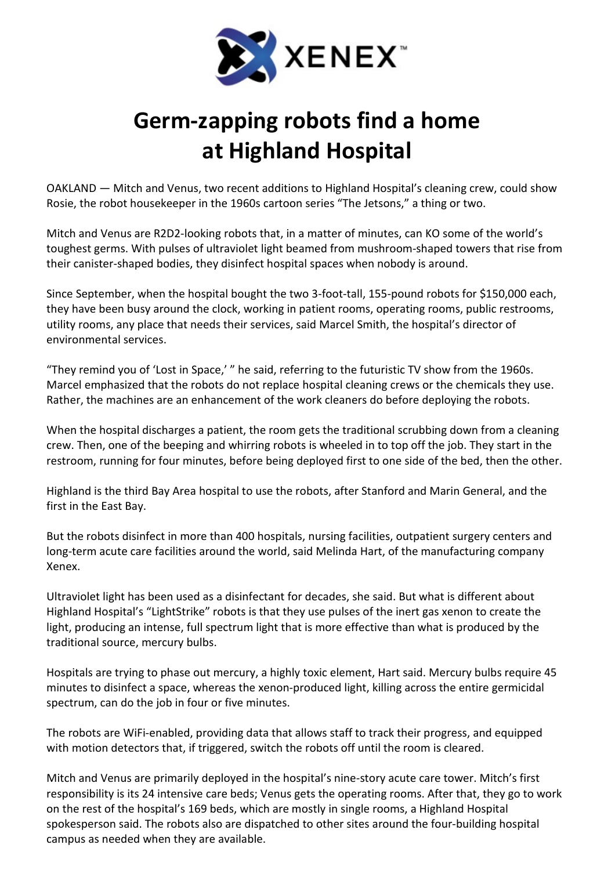

## Germ-zapping robots find a home at Highland Hospital

OAKLAND — Mitch and Venus, two recent additions to Highland Hospital's cleaning crew, could show Rosie, the robot housekeeper in the 1960s cartoon series "The Jetsons," a thing or two.

Mitch and Venus are R2D2-looking robots that, in a matter of minutes, can KO some of the world's toughest germs. With pulses of ultraviolet light beamed from mushroom-shaped towers that rise from their canister-shaped bodies, they disinfect hospital spaces when nobody is around.

Since September, when the hospital bought the two 3-foot-tall, 155-pound robots for \$150,000 each, they have been busy around the clock, working in patient rooms, operating rooms, public restrooms, utility rooms, any place that needs their services, said Marcel Smith, the hospital's director of environmental services.

"They remind you of 'Lost in Space,' " he said, referring to the futuristic TV show from the 1960s. Marcel emphasized that the robots do not replace hospital cleaning crews or the chemicals they use. Rather, the machines are an enhancement of the work cleaners do before deploying the robots.

When the hospital discharges a patient, the room gets the traditional scrubbing down from a cleaning crew. Then, one of the beeping and whirring robots is wheeled in to top off the job. They start in the restroom, running for four minutes, before being deployed first to one side of the bed, then the other.

Highland is the third Bay Area hospital to use the robots, after Stanford and Marin General, and the first in the East Bay.

But the robots disinfect in more than 400 hospitals, nursing facilities, outpatient surgery centers and long-term acute care facilities around the world, said Melinda Hart, of the manufacturing company Xenex.

Ultraviolet light has been used as a disinfectant for decades, she said. But what is different about Highland Hospital's "LightStrike" robots is that they use pulses of the inert gas xenon to create the light, producing an intense, full spectrum light that is more effective than what is produced by the traditional source, mercury bulbs.

Hospitals are trying to phase out mercury, a highly toxic element, Hart said. Mercury bulbs require 45 minutes to disinfect a space, whereas the xenon-produced light, killing across the entire germicidal spectrum, can do the job in four or five minutes.

The robots are WiFi-enabled, providing data that allows staff to track their progress, and equipped with motion detectors that, if triggered, switch the robots off until the room is cleared.

Mitch and Venus are primarily deployed in the hospital's nine-story acute care tower. Mitch's first responsibility is its 24 intensive care beds; Venus gets the operating rooms. After that, they go to work on the rest of the hospital's 169 beds, which are mostly in single rooms, a Highland Hospital spokesperson said. The robots also are dispatched to other sites around the four-building hospital campus as needed when they are available.